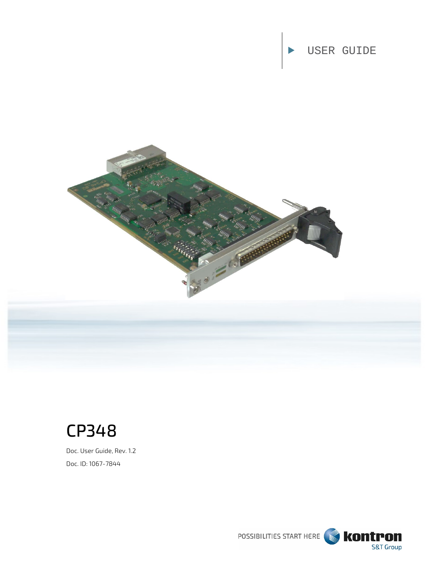



# CP348

Doc. User Guide, Rev. 1.2 Doc. ID: 1067-7844

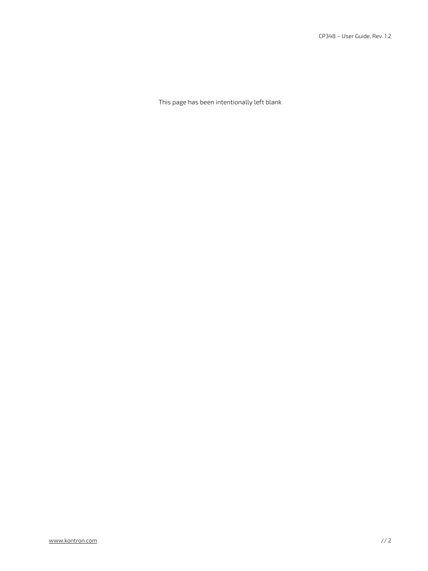This page has been intentionally left blank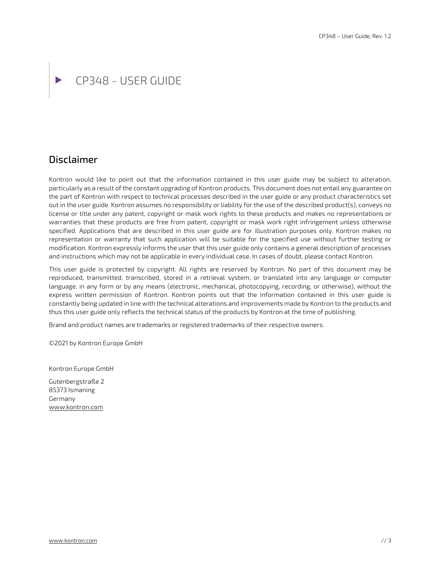# $\blacktriangleright$   $CP348 - USFR$  GUIDE

## Disclaimer

Kontron would like to point out that the information contained in this user guide may be subject to alteration, particularly as a result of the constant upgrading of Kontron products. This document does not entail any guarantee on the part of Kontron with respect to technical processes described in the user guide or any product characteristics set out in the user guide. Kontron assumes no responsibility or liability for the use of the described product(s), conveys no license or title under any patent, copyright or mask work rights to these products and makes no representations or warranties that these products are free from patent, copyright or mask work right infringement unless otherwise specified. Applications that are described in this user guide are for illustration purposes only. Kontron makes no representation or warranty that such application will be suitable for the specified use without further testing or modification. Kontron expressly informs the user that this user guide only contains a general description of processes and instructions which may not be applicable in every individual case. In cases of doubt, please contact Kontron.

This user guide is protected by copyright. All rights are reserved by Kontron. No part of this document may be reproduced, transmitted, transcribed, stored in a retrieval system, or translated into any language or computer language, in any form or by any means (electronic, mechanical, photocopying, recording, or otherwise), without the express written permission of Kontron. Kontron points out that the information contained in this user guide is constantly being updated in line with the technical alterations and improvements made by Kontron to the products and thus this user guide only reflects the technical status of the products by Kontron at the time of publishing.

Brand and product names are trademarks or registered trademarks of their respective owners.

©2021 by Kontron Europe GmbH

Kontron Europe GmbH

Gutenbergstraße 2 85373 Ismaning Germany [www.kontron.com](http://www.kontron.com/)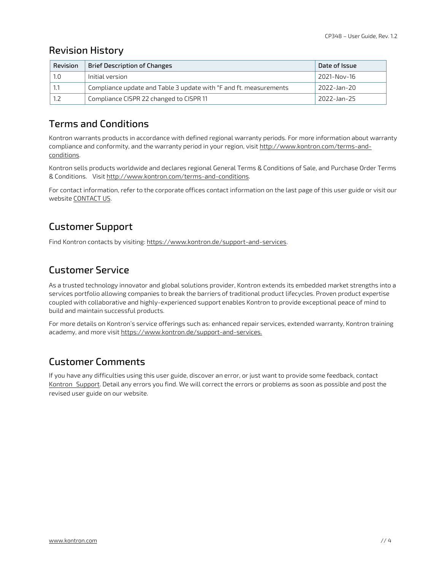# Revision History

| Revision | Brief Description of Changes                                      | Date of Issue |
|----------|-------------------------------------------------------------------|---------------|
| 1.0      | Initial version                                                   | 2021-Nov-16   |
|          | Compliance update and Table 3 update with °F and ft. measurements | 2022-Jan-20   |
|          | Compliance CISPR 22 changed to CISPR 11                           | 2022-Jan-25   |

# Terms and Conditions

Kontron warrants products in accordance with defined regional warranty periods. For more information about warranty compliance and conformity, and the warranty period in your region, visi[t http://www.kontron.com/terms-and](http://www.kontron.com/terms-and-conditions)[conditions.](http://www.kontron.com/terms-and-conditions)

Kontron sells products worldwide and declares regional General Terms & Conditions of Sale, and Purchase Order Terms & Conditions. Visi[t http://www.kontron.com/terms-and-conditions.](http://www.kontron.com/terms-and-conditions)

For contact information, refer to the corporate offices contact information on the last page of this user guide or visit our websit[e CONTACT US.](http://www.kontron.com/about-kontron/company-overview/contact-us)

# Customer Support

Find Kontron contacts by visiting[: https://www.kontron.de/support-and-services.](https://www.kontron.de/support-and-services)

# Customer Service

As a trusted technology innovator and global solutions provider, Kontron extends its embedded market strengths into a services portfolio allowing companies to break the barriers of traditional product lifecycles. Proven product expertise coupled with collaborative and highly-experienced support enables Kontron to provide exceptional peace of mind to build and maintain successful products.

For more details on Kontron's service offerings such as: enhanced repair services, extended warranty, Kontron training academy, and more visit <https://www.kontron.de/support-and-services>.

# Customer Comments

If you have any difficulties using this user guide, discover an error, or just want to provide some feedback, contact Kontron [Support.](https://www.kontron.de/support-and-services) Detail any errors you find. We will correct the errors or problems as soon as possible and post the revised user guide on our website.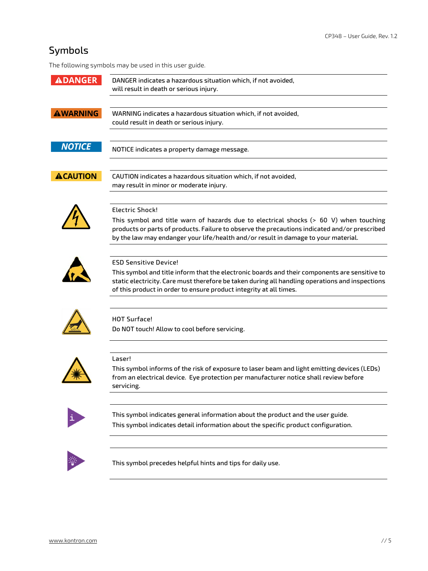# <span id="page-4-0"></span>Symbols

The following symbols may be used in this user guide.

| <b>ADANGER</b>  | DANGER indicates a hazardous situation which, if not avoided,<br>will result in death or serious injury.                                                                                                                                                                     |
|-----------------|------------------------------------------------------------------------------------------------------------------------------------------------------------------------------------------------------------------------------------------------------------------------------|
|                 |                                                                                                                                                                                                                                                                              |
| <b>AWARNING</b> | WARNING indicates a hazardous situation which, if not avoided,<br>could result in death or serious injury.                                                                                                                                                                   |
|                 |                                                                                                                                                                                                                                                                              |
| <b>NOTICE</b>   | NOTICE indicates a property damage message.                                                                                                                                                                                                                                  |
|                 |                                                                                                                                                                                                                                                                              |
| <b>ACAUTION</b> | CAUTION indicates a hazardous situation which, if not avoided,<br>may result in minor or moderate injury.                                                                                                                                                                    |
|                 |                                                                                                                                                                                                                                                                              |
|                 | <b>Electric Shock!</b>                                                                                                                                                                                                                                                       |
|                 | This symbol and title warn of hazards due to electrical shocks (> 60 V) when touching<br>products or parts of products. Failure to observe the precautions indicated and/or prescribed<br>by the law may endanger your life/health and/or result in damage to your material. |
|                 |                                                                                                                                                                                                                                                                              |
|                 | <b>ESD Sensitive Device!</b>                                                                                                                                                                                                                                                 |
|                 | This symbol and title inform that the electronic boards and their components are sensitive to<br>static electricity. Care must therefore be taken during all handling operations and inspections<br>of this product in order to ensure product integrity at all times.       |
|                 |                                                                                                                                                                                                                                                                              |
|                 | <b>HOT Surface!</b><br>Do NOT touch! Allow to cool before servicing.                                                                                                                                                                                                         |
|                 |                                                                                                                                                                                                                                                                              |
|                 |                                                                                                                                                                                                                                                                              |
|                 | Laser!                                                                                                                                                                                                                                                                       |
|                 | This symbol informs of the risk of exposure to laser beam and light emitting devices (LEDs)<br>from an electrical device. Eye protection per manufacturer notice shall review before<br>servicing.                                                                           |
|                 |                                                                                                                                                                                                                                                                              |
|                 | This symbol indicates general information about the product and the user guide.                                                                                                                                                                                              |
|                 | This symbol indicates detail information about the specific product configuration.                                                                                                                                                                                           |
|                 |                                                                                                                                                                                                                                                                              |
|                 | This symbol precedes helpful hints and tips for daily use.                                                                                                                                                                                                                   |
|                 |                                                                                                                                                                                                                                                                              |
|                 |                                                                                                                                                                                                                                                                              |
|                 |                                                                                                                                                                                                                                                                              |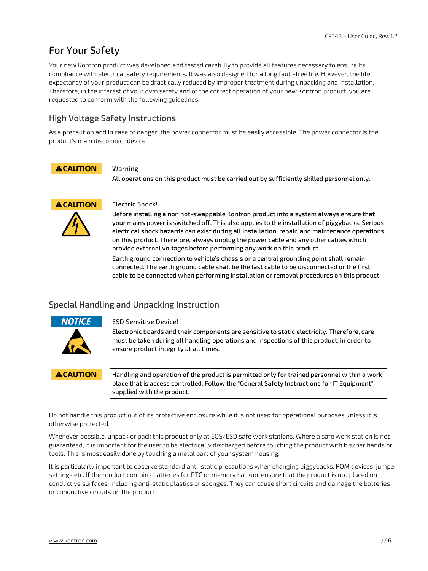## For Your Safety

Your new Kontron product was developed and tested carefully to provide all features necessary to ensure its compliance with electrical safety requirements. It was also designed for a long fault-free life. However, the life expectancy of your product can be drastically reduced by improper treatment during unpacking and installation. Therefore, in the interest of your own safety and of the correct operation of your new Kontron product, you are requested to conform with the following guidelines.

#### High Voltage Safety Instructions

As a precaution and in case of danger, the power connector must be easily accessible. The power connector is the product's main disconnect device.

#### **ACAUTION**

All operations on this product must be carried out by sufficiently skilled personnel only.



#### Electric Shock!

Warning

Before installing a non hot-swappable Kontron product into a system always ensure that your mains power is switched off. This also applies to the installation of piggybacks. Serious electrical shock hazards can exist during all installation, repair, and maintenance operations on this product. Therefore, always unplug the power cable and any other cables which provide external voltages before performing any work on this product.

Earth ground connection to vehicle's chassis or a central grounding point shall remain connected. The earth ground cable shall be the last cable to be disconnected or the first cable to be connected when performing installation or removal procedures on this product.

#### Special Handling and Unpacking Instruction



#### ESD Sensitive Device!

Electronic boards and their components are sensitive to static electricity. Therefore, care must be taken during all handling operations and inspections of this product, in order to ensure product integrity at all times.

#### **ACAUTION**

Handling and operation of the product is permitted only for trained personnel within a work place that is access controlled. Follow the "General Safety Instructions for IT Equipment" supplied with the product.

Do not handle this product out of its protective enclosure while it is not used for operational purposes unless it is otherwise protected.

Whenever possible, unpack or pack this product only at EOS/ESD safe work stations. Where a safe work station is not guaranteed, it is important for the user to be electrically discharged before touching the product with his/her hands or tools. This is most easily done by touching a metal part of your system housing.

It is particularly important to observe standard anti-static precautions when changing piggybacks, ROM devices, jumper settings etc. If the product contains batteries for RTC or memory backup, ensure that the product is not placed on conductive surfaces, including anti-static plastics or sponges. They can cause short circuits and damage the batteries or conductive circuits on the product.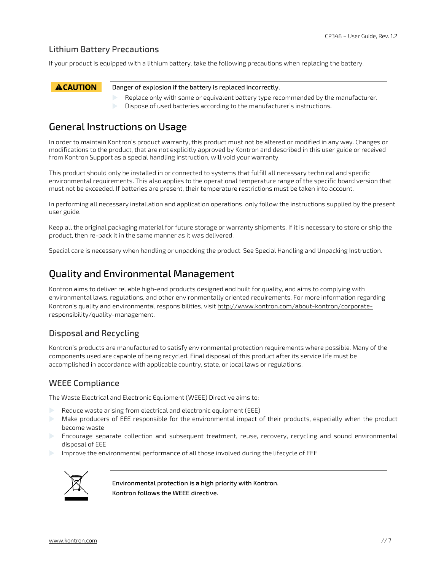### Lithium Battery Precautions

If your product is equipped with a lithium battery, take the following precautions when replacing the battery.

#### **ACAUTION**

#### Danger of explosion if the battery is replaced incorrectly.

 Replace only with same or equivalent battery type recommended by the manufacturer. Dispose of used batteries according to the manufacturer's instructions.

## General Instructions on Usage

In order to maintain Kontron's product warranty, this product must not be altered or modified in any way. Changes or modifications to the product, that are not explicitly approved by Kontron and described in this user guide or received from Kontron Support as a special handling instruction, will void your warranty.

This product should only be installed in or connected to systems that fulfill all necessary technical and specific environmental requirements. This also applies to the operational temperature range of the specific board version that must not be exceeded. If batteries are present, their temperature restrictions must be taken into account.

In performing all necessary installation and application operations, only follow the instructions supplied by the present user guide.

Keep all the original packaging material for future storage or warranty shipments. If it is necessary to store or ship the product, then re-pack it in the same manner as it was delivered.

Special care is necessary when handling or unpacking the product. See Special Handling and Unpacking Instruction.

## Quality and Environmental Management

Kontron aims to deliver reliable high-end products designed and built for quality, and aims to complying with environmental laws, regulations, and other environmentally oriented requirements. For more information regarding Kontron's quality and environmental responsibilities, visi[t http://www.kontron.com/about-kontron/corporate](http://www.kontron.com/about-kontron/corporate-responsibility/quality-management)[responsibility/quality-management.](http://www.kontron.com/about-kontron/corporate-responsibility/quality-management)

#### Disposal and Recycling

Kontron's products are manufactured to satisfy environmental protection requirements where possible. Many of the components used are capable of being recycled. Final disposal of this product after its service life must be accomplished in accordance with applicable country, state, or local laws or regulations.

#### WEEE Compliance

The Waste Electrical and Electronic Equipment (WEEE) Directive aims to:

- Reduce waste arising from electrical and electronic equipment (EEE)
- $\triangleright$  Make producers of EEE responsible for the environmental impact of their products, especially when the product become waste
- Encourage separate collection and subsequent treatment, reuse, recovery, recycling and sound environmental disposal of EEE
- Improve the environmental performance of all those involved during the lifecycle of EEE



Environmental protection is a high priority with Kontron. Kontron follows the WEEE directive.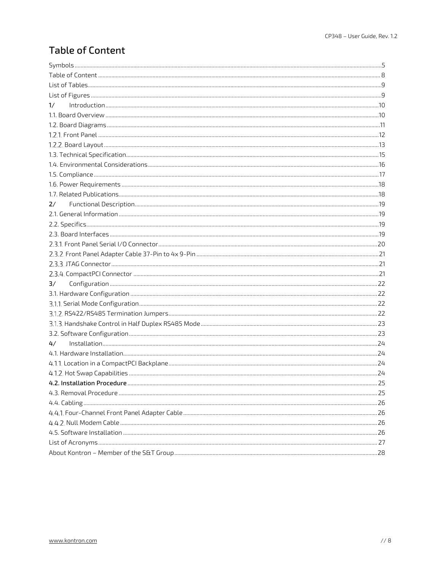# <span id="page-7-0"></span>**Table of Content**

| 1/ |      |
|----|------|
|    |      |
|    |      |
|    |      |
|    |      |
|    |      |
|    |      |
|    |      |
|    |      |
|    |      |
| 2/ |      |
|    |      |
|    |      |
|    |      |
|    |      |
|    |      |
|    |      |
|    |      |
| 37 |      |
|    |      |
|    |      |
|    |      |
|    |      |
|    |      |
| 4/ |      |
|    |      |
|    |      |
|    |      |
|    | . 25 |
|    |      |
|    |      |
|    |      |
|    |      |
|    |      |
|    |      |
|    |      |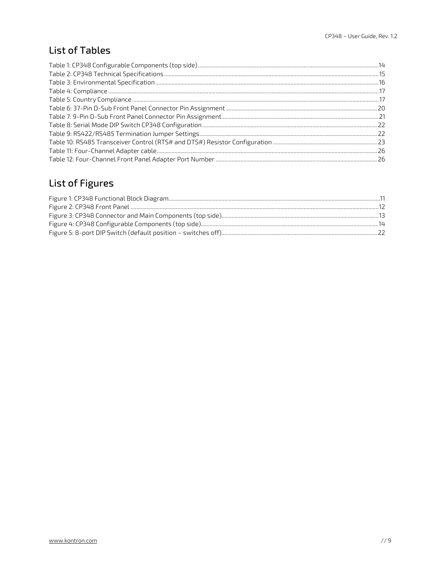# <span id="page-8-0"></span>**List of Tables**

# <span id="page-8-1"></span>List of Figures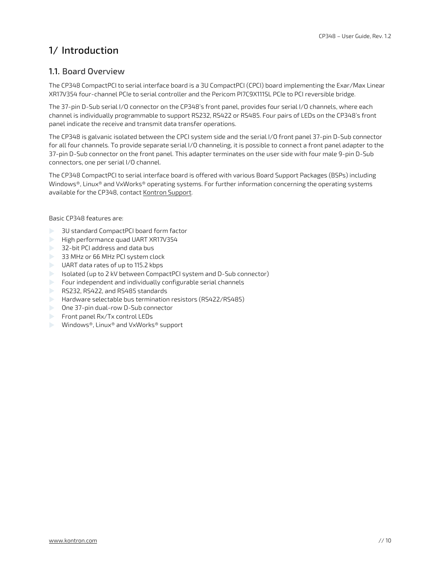# <span id="page-9-0"></span>1/ Introduction

#### <span id="page-9-1"></span>1.1. Board Overview

The CP348 CompactPCI to serial interface board is a 3U CompactPCI (CPCI) board implementing the Exar/Max Linear XR17V354 four-channel PCIe to serial controller and the Pericom PI7C9X111SL PCIe to PCI reversible bridge.

The 37-pin D-Sub serial I/O connector on the CP348's front panel, provides four serial I/O channels, where each channel is individually programmable to support RS232, RS422 or RS485. Four pairs of LEDs on the CP348's front panel indicate the receive and transmit data transfer operations.

The CP348 is galvanic isolated between the CPCI system side and the serial I/O front panel 37-pin D-Sub connector for all four channels. To provide separate serial I/O channeling, it is possible to connect a front panel adapter to the 37-pin D-Sub connector on the front panel. This adapter terminates on the user side with four male 9-pin D-Sub connectors, one per serial I/O channel.

The CP348 CompactPCI to serial interface board is offered with various Board Support Packages (BSPs) including Windows®, Linux® and VxWorks® operating systems. For further information concerning the operating systems available for the CP348, contact [Kontron Support.](https://www.kontron.com/en/support-and-services/kontron-europe-and-asia/support)

Basic CP348 features are:

- **3U standard CompactPCI board form factor**
- **High performance quad UART XR17V354**
- 32-bit PCI address and data bus
- 33 MHz or 66 MHz PCI system clock
- UART data rates of up to 115.2 kbps
- Isolated (up to 2 kV between CompactPCI system and D-Sub connector)
- $\triangleright$  Four independent and individually configurable serial channels
- RS232, RS422, and RS485 standards
- $\triangleright$  Hardware selectable bus termination resistors (RS422/RS485)
- **D** One 37-pin dual-row D-Sub connector
- Front panel Rx/Tx control LEDs
- Windows®, Linux® and VxWorks® support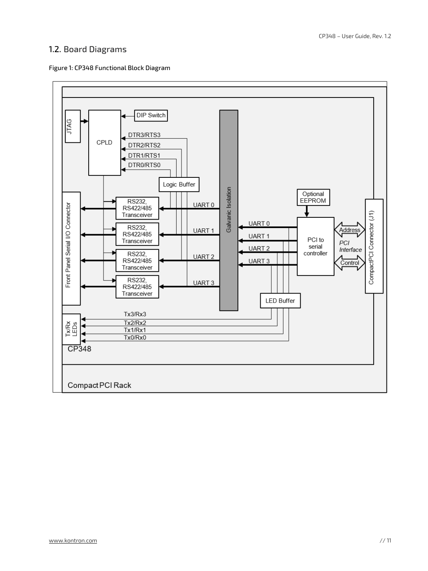### <span id="page-10-0"></span>1.2. Board Diagrams

<span id="page-10-1"></span>

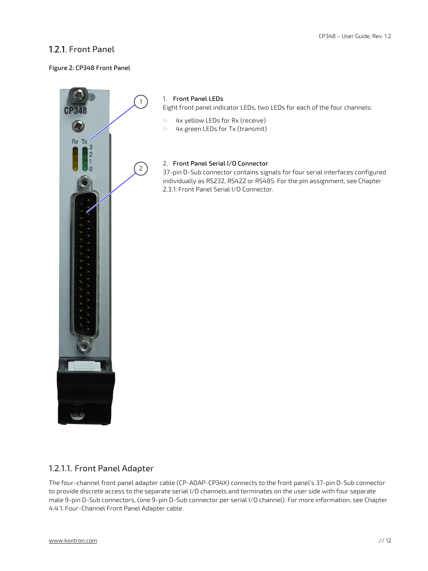### <span id="page-11-0"></span>1.2.1. Front Panel

#### CP348 – User Guide, Rev. 1.2

#### <span id="page-11-1"></span>Figure 2: CP348 Front Panel



#### 1. Front Panel LEDs

Eight front panel indicator LEDs, two LEDs for each of the four channels:

- 4x yellow LEDs for Rx (receive)
- 4x green LEDs for Tx (transmit)

#### 2. Front Panel Serial I/O Connector

37-pin D-Sub connector contains signals for four serial interfaces configured individually as RS232, RS422 or RS485. For the pin assignment, see Chapter [2.3.1:](#page-19-0) [Front Panel Serial I/O Connector.](#page-19-0)

#### 1.2.1.1. Front Panel Adapter

The four-channel front panel adapter cable (CP-ADAP-CP34X) connects to the front panel's 37-pin D-Sub connector to provide discrete access to the separate serial I/O channels and terminates on the user side with four separate male 9-pin D-Sub connectors, (one 9-pin D-Sub connector per serial I/O channel). For more information, see Chapter [4.4.1:](#page-25-1) [Four-Channel Front Panel Adapter](#page-25-1) cable.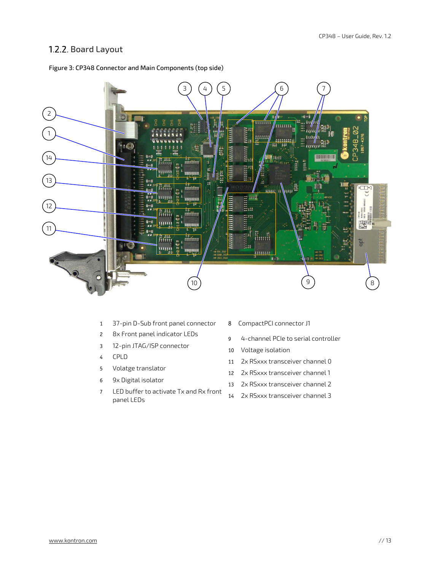## <span id="page-12-0"></span>1.2.2. Board Layout

<span id="page-12-1"></span>



- 37-pin D-Sub front panel connector
- 8x Front panel indicator LEDs
- 12-pin JTAG/ISP connector
- CPLD
- Volatge translator
- 9x Digital isolator
- LED buffer to activate Tx and Rx front panel LEDs
- CompactPCI connector J1
- 4-channel PCIe to serial controller
- Voltage isolation
- 2x RSxxx transceiver channel 0
- 2x RSxxx transceiver channel 1
- 2x RSxxx transceiver channel 2
- 2x RSxxx transceiver channel 3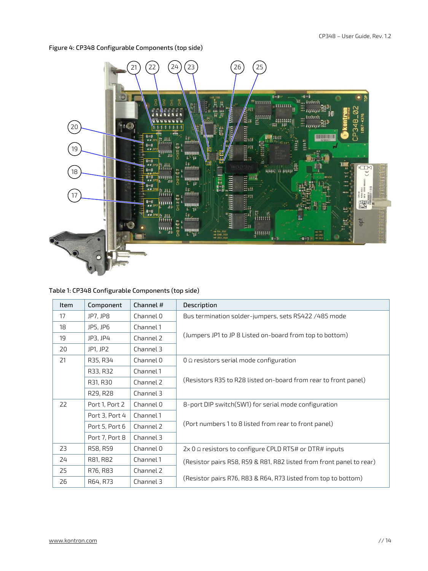#### <span id="page-13-1"></span>Figure 4: CP348 Configurable Components (top side)



#### <span id="page-13-0"></span>Table 1: CP348 Configurable Components (top side)

| <b>Item</b> | Component                   | Channel # | Description                                                          |  |  |  |
|-------------|-----------------------------|-----------|----------------------------------------------------------------------|--|--|--|
| 17          | JP7, JP8                    | Channel 0 | Bus termination solder-jumpers, sets RS422 /485 mode                 |  |  |  |
| 18          | JP5, JP6                    | Channel 1 |                                                                      |  |  |  |
| 19          | JP3, JP4                    | Channel 2 | (Jumpers JP1 to JP 8 Listed on-board from top to bottom)             |  |  |  |
| 20          | JP1, JP2                    | Channel 3 |                                                                      |  |  |  |
| 21          | R35, R34                    | Channel 0 | $0 \Omega$ resistors serial mode configuration                       |  |  |  |
|             | R33, R32                    | Channel 1 |                                                                      |  |  |  |
|             | R31, R30                    | Channel 2 | (Resistors R35 to R28 listed on-board from rear to front panel)      |  |  |  |
|             | R29, R28                    | Channel 3 |                                                                      |  |  |  |
| 22          | Port 1, Port 2              | Channel 0 | 8-port DIP switch(SW1) for serial mode configuration                 |  |  |  |
|             | Port 3, Port 4<br>Channel 1 |           |                                                                      |  |  |  |
|             | Port 5, Port 6              | Channel 2 | (Port numbers 1 to 8 listed from rear to front panel)                |  |  |  |
|             | Port 7, Port 8              | Channel 3 |                                                                      |  |  |  |
| 23          | R58, R59                    | Channel 0 | 2x 0 Ω resistors to configure CPLD RTS# or DTR# inputs               |  |  |  |
| 24          | R81, R82                    | Channel 1 | (Resistor pairs R58, R59 & R81, R82 listed from front panel to rear) |  |  |  |
| 25          | R76, R83                    | Channel 2 |                                                                      |  |  |  |
| 26          | R64, R73                    | Channel 3 | (Resistor pairs R76, R83 & R64, R73 listed from top to bottom)       |  |  |  |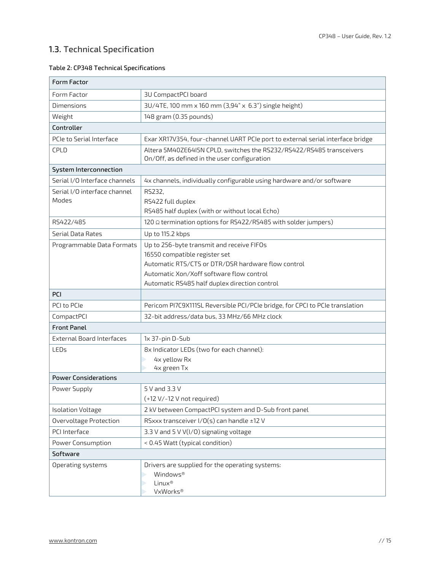# <span id="page-14-0"></span>1.3. Technical Specification

#### <span id="page-14-1"></span>Table 2: CP348 Technical Specifications

| <b>Form Factor</b>                    |                                                                                                                                                                                                                               |  |  |  |  |
|---------------------------------------|-------------------------------------------------------------------------------------------------------------------------------------------------------------------------------------------------------------------------------|--|--|--|--|
| Form Factor                           | 3U CompactPCI board                                                                                                                                                                                                           |  |  |  |  |
| Dimensions                            | 3U/4TE, 100 mm x 160 mm (3,94" x 6.3") single height)                                                                                                                                                                         |  |  |  |  |
| 148 gram (0.35 pounds)<br>Weight      |                                                                                                                                                                                                                               |  |  |  |  |
| Controller                            |                                                                                                                                                                                                                               |  |  |  |  |
| PCIe to Serial Interface              | Exar XR17V354, four-channel UART PCIe port to external serial interface bridge                                                                                                                                                |  |  |  |  |
| CPLD                                  | Altera 5M40ZE64I5N CPLD, switches the RS232/RS422/RS485 transceivers<br>On/Off, as defined in the user configuration                                                                                                          |  |  |  |  |
| System Interconnection                |                                                                                                                                                                                                                               |  |  |  |  |
| Serial I/O Interface channels         | 4x channels, individually configurable using hardware and/or software                                                                                                                                                         |  |  |  |  |
| Serial I/O interface channel<br>Modes | RS232,<br>RS422 full duplex<br>RS485 half duplex (with or without local Echo)                                                                                                                                                 |  |  |  |  |
| RS422/485                             | 120 Ω termination options for RS422/RS485 with solder jumpers)                                                                                                                                                                |  |  |  |  |
| Serial Data Rates                     | Up to 115.2 kbps                                                                                                                                                                                                              |  |  |  |  |
| Programmable Data Formats             | Up to 256-byte transmit and receive FIFOs<br>16550 compatible register set<br>Automatic RTS/CTS or DTR/DSR hardware flow control<br>Automatic Xon/Xoff software flow control<br>Automatic RS485 half duplex direction control |  |  |  |  |
| PCI                                   |                                                                                                                                                                                                                               |  |  |  |  |
| PCI to PCIe                           | Pericom PI7C9X111SL Reversible PCI/PCIe bridge, for CPCI to PCIe translation                                                                                                                                                  |  |  |  |  |
| CompactPCI                            | 32-bit address/data bus, 33 MHz/66 MHz clock                                                                                                                                                                                  |  |  |  |  |
| <b>Front Panel</b>                    |                                                                                                                                                                                                                               |  |  |  |  |
| <b>External Board Interfaces</b>      | 1x 37-pin D-Sub                                                                                                                                                                                                               |  |  |  |  |
| LEDs                                  | 8x Indicator LEDs (two for each channel):<br>4x yellow Rx<br>4x green Tx                                                                                                                                                      |  |  |  |  |
| <b>Power Considerations</b>           |                                                                                                                                                                                                                               |  |  |  |  |
| Power Supply                          | 5 V and 3.3 V<br>$(+12 V/-12 V not required)$                                                                                                                                                                                 |  |  |  |  |
| <b>Isolation Voltage</b>              | 2 kV between CompactPCI system and D-Sub front panel                                                                                                                                                                          |  |  |  |  |
| Overvoltage Protection                | RSxxx transceiver I/O(s) can handle ±12 V                                                                                                                                                                                     |  |  |  |  |
| PCI Interface                         | 3.3 V and 5 V V(I/O) signaling voltage                                                                                                                                                                                        |  |  |  |  |
| Power Consumption                     | < 0.45 Watt (typical condition)                                                                                                                                                                                               |  |  |  |  |
| Software                              |                                                                                                                                                                                                                               |  |  |  |  |
| Operating systems                     | Drivers are supplied for the operating systems:<br>Windows <sup>®</sup><br>Linux®<br><b>VxWorks®</b>                                                                                                                          |  |  |  |  |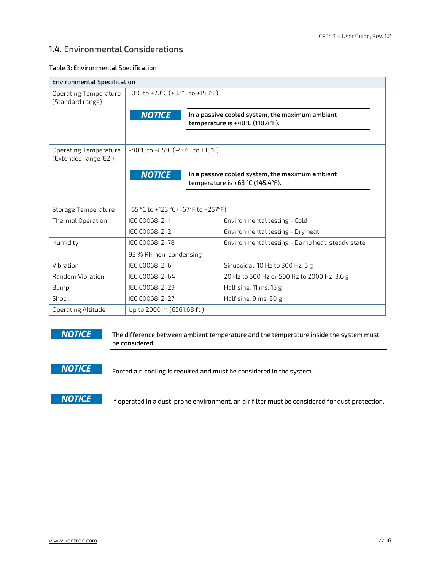## <span id="page-15-0"></span>1.4. Environmental Considerations

#### <span id="page-15-1"></span>Table 3: Environmental Specification

| <b>Environmental Specification</b>                    |                                                                                                      |                                                                                    |                                                 |  |  |
|-------------------------------------------------------|------------------------------------------------------------------------------------------------------|------------------------------------------------------------------------------------|-------------------------------------------------|--|--|
| <b>Operating Temperature</b><br>(Standard range)      | 0°C to +70°C (+32°F to +158°F)                                                                       |                                                                                    |                                                 |  |  |
|                                                       | <b>NOTICE</b>                                                                                        | In a passive cooled system, the maximum ambient<br>temperature is +48°C (118.4°F). |                                                 |  |  |
| <b>Operating Temperature</b><br>(Extended range 'E2') | $-40^{\circ}$ C to +85 $^{\circ}$ C (-40 $^{\circ}$ F to 185 $^{\circ}$ F)                           |                                                                                    |                                                 |  |  |
|                                                       | <b>NOTICE</b><br>In a passive cooled system, the maximum ambient<br>temperature is +63 °C (145.4°F). |                                                                                    |                                                 |  |  |
| Storage Temperature                                   | -55 °C to +125 °C (-67°F to +257°F)                                                                  |                                                                                    |                                                 |  |  |
| Thermal Operation                                     | IEC 60068-2-1                                                                                        |                                                                                    | Environmental testing - Cold                    |  |  |
|                                                       | IEC 60068-2-2                                                                                        |                                                                                    | Environmental testing - Dry heat                |  |  |
| Humidity                                              | IEC 60068-2-78                                                                                       |                                                                                    | Environmental testing - Damp heat, steady state |  |  |
|                                                       | 93 % RH non-condensing                                                                               |                                                                                    |                                                 |  |  |
| Vibration                                             | IEC 60068-2-6                                                                                        |                                                                                    | Sinusoidal, 10 Hz to 300 Hz, 5 g                |  |  |
| Random Vibration                                      | IEC 60068-2-64                                                                                       |                                                                                    | 20 Hz to 500 Hz or 500 Hz to 2000 Hz, 3.6 g     |  |  |
| Bump                                                  | IEC 60068-2-29                                                                                       |                                                                                    | Half sine. $11 \text{ ms}$ , $15 \text{ g}$     |  |  |
| Shock                                                 | IEC 60068-2-27                                                                                       |                                                                                    | Half sine. 9 ms, 30 g                           |  |  |
| Operating Altitude                                    | Up to 2000 m (6561.68 ft.)                                                                           |                                                                                    |                                                 |  |  |

## **NOTICE**

The difference between ambient temperature and the temperature inside the system must be considered.

## **NOTICE**

Forced air-cooling is required and must be considered in the system.

## **NOTICE**

If operated in a dust-prone environment, an air filter must be considered for dust protection.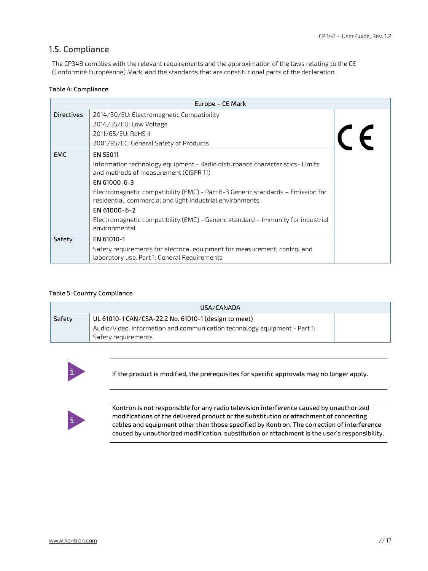#### <span id="page-16-0"></span>1.5. Compliance

The CP348 complies with the relevant requirements and the approximation of the laws relating to the CE (Conformité Européenne) Mark, and the standards that are constitutional parts of the declaration.

#### <span id="page-16-1"></span>Table 4: Compliance

| Europe - CE Mark  |                                                                                  |  |  |  |  |  |  |
|-------------------|----------------------------------------------------------------------------------|--|--|--|--|--|--|
| <b>Directives</b> | 2014/30/EU: Electromagnetic Compatibility                                        |  |  |  |  |  |  |
|                   | 2014/35/EU: Low Voltage                                                          |  |  |  |  |  |  |
|                   | 2011/65/EU: RoHS II                                                              |  |  |  |  |  |  |
|                   | 2001/95/EC: General Safety of Products                                           |  |  |  |  |  |  |
| <b>EMC</b>        | EN 55011                                                                         |  |  |  |  |  |  |
|                   | Information technology equipment - Radio disturbance characteristics- Limits     |  |  |  |  |  |  |
|                   | and methods of measurement (CISPR 11)                                            |  |  |  |  |  |  |
|                   | EN 61000-6-3                                                                     |  |  |  |  |  |  |
|                   | Electromagnetic compatibility (EMC) - Part 6-3 Generic standards - Emission for  |  |  |  |  |  |  |
|                   | residential, commercial and light industrial environments                        |  |  |  |  |  |  |
|                   | EN 61000-6-2                                                                     |  |  |  |  |  |  |
|                   | Electromagnetic compatibility (EMC) - Generic standard - Immunity for industrial |  |  |  |  |  |  |
|                   | environmental                                                                    |  |  |  |  |  |  |
| Safety            | EN 61010-1                                                                       |  |  |  |  |  |  |
|                   | Safety requirements for electrical equipment for measurement, control and        |  |  |  |  |  |  |
|                   | laboratory use. Part 1: General Requirements                                     |  |  |  |  |  |  |

#### <span id="page-16-2"></span>Table 5: Country Compliance

| USA/CANADA |                                                                           |  |  |  |  |
|------------|---------------------------------------------------------------------------|--|--|--|--|
| Safety     | UL 61010-1 CAN/CSA-22.2 No. 61010-1 (design to meet)                      |  |  |  |  |
|            | Audio/video, information and communication technology equipment - Part 1: |  |  |  |  |
|            | Safety requirements                                                       |  |  |  |  |



If the product is modified, the prerequisites for specific approvals may no longer apply.



Kontron is not responsible for any radio television interference caused by unauthorized modifications of the delivered product or the substitution or attachment of connecting cables and equipment other than those specified by Kontron. The correction of interference caused by unauthorized modification, substitution or attachment is the user's responsibility.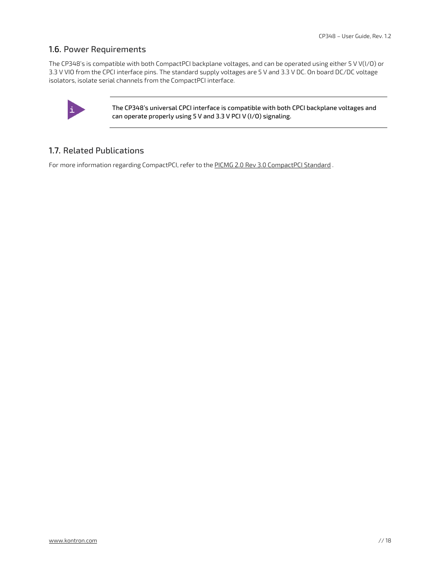#### <span id="page-17-0"></span>1.6. Power Requirements

The CP348's is compatible with both CompactPCI backplane voltages, and can be operated using either 5 V V(I/O) or 3.3 V VIO from the CPCI interface pins. The standard supply voltages are 5 V and 3.3 V DC. On board DC/DC voltage isolators, isolate serial channels from the CompactPCI interface.



The CP348's universal CPCI interface is compatible with both CPCI backplane voltages and can operate properly using 5 V and 3.3 V PCI V (I/O) signaling.

### <span id="page-17-1"></span>1.7. Related Publications

For more information regarding CompactPCI, refer to th[e PICMG 2.0 Rev 3.0 CompactPCI Standard](https://www.picmg.org/openstandards/compactpci/).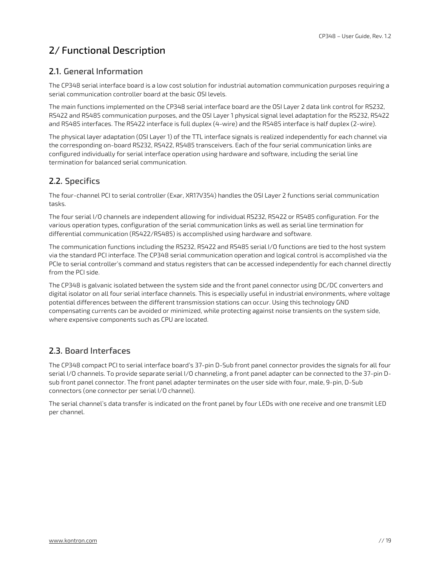# <span id="page-18-0"></span>2/ Functional Description

### <span id="page-18-1"></span>2.1. General Information

The CP348 serial interface board is a low cost solution for industrial automation communication purposes requiring a serial communication controller board at the basic OSI levels.

The main functions implemented on the CP348 serial interface board are the OSI Layer 2 data link control for RS232, RS422 and RS485 communication purposes, and the OSI Layer 1 physical signal level adaptation for the RS232, RS422 and RS485 interfaces. The RS422 interface is full duplex (4-wire) and the RS485 interface is half duplex (2-wire).

The physical layer adaptation (OSI Layer 1) of the TTL interface signals is realized independently for each channel via the corresponding on-board RS232, RS422, RS485 transceivers. Each of the four serial communication links are configured individually for serial interface operation using hardware and software, including the serial line termination for balanced serial communication.

## <span id="page-18-2"></span>2.2. Specifics

The four-channel PCI to serial controller (Exar, XR17V354) handles the OSI Layer 2 functions serial communication tasks.

The four serial I/O channels are independent allowing for individual RS232, RS422 or RS485 configuration. For the various operation types, configuration of the serial communication links as well as serial line termination for differential communication (RS422/RS485) is accomplished using hardware and software.

The communication functions including the RS232, RS422 and RS485 serial I/O functions are tied to the host system via the standard PCI interface. The CP348 serial communication operation and logical control is accomplished via the PCIe to serial controller's command and status registers that can be accessed independently for each channel directly from the PCI side.

The CP348 is galvanic isolated between the system side and the front panel connector using DC/DC converters and digital isolator on all four serial interface channels. This is especially useful in industrial environments, where voltage potential differences between the different transmission stations can occur. Using this technology GND compensating currents can be avoided or minimized, while protecting against noise transients on the system side, where expensive components such as CPU are located.

## <span id="page-18-3"></span>2.3. Board Interfaces

The CP348 compact PCI to serial interface board's 37-pin D-Sub front panel connector provides the signals for all four serial I/O channels. To provide separate serial I/O channeling, a front panel adapter can be connected to the 37-pin Dsub front panel connector. The front panel adapter terminates on the user side with four, male, 9-pin, D-Sub connectors (one connector per serial I/O channel).

The serial channel's data transfer is indicated on the front panel by four LEDs with one receive and one transmit LED per channel.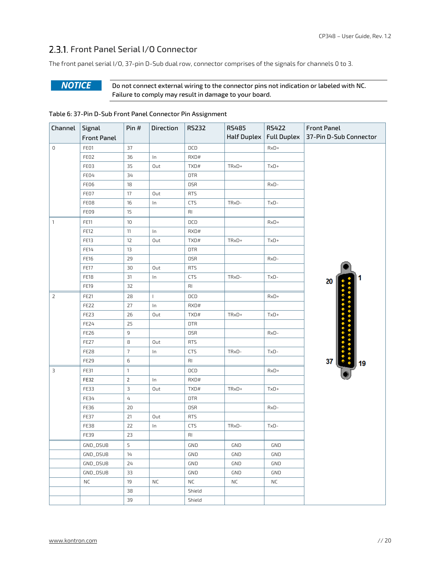## <span id="page-19-0"></span>2.3.1. Front Panel Serial I/O Connector

The front panel serial I/O, 37-pin D-Sub dual row, connector comprises of the signals for channels 0 to 3.

#### **NOTICE** Do not connect external wiring to the connector pins not indication or labeled with NC. Failure to comply may result in damage to your board.

| Channel        | Signal<br><b>Front Panel</b> | Pin #          | Direction    | <b>RS232</b>  | RS485<br>Half Duplex | <b>RS422</b><br>Full Duplex | <b>Front Panel</b><br>37-Pin D-Sub Connector |
|----------------|------------------------------|----------------|--------------|---------------|----------------------|-----------------------------|----------------------------------------------|
| 0              | FE01                         | 37             |              | DCD           |                      | $RxD+$                      |                                              |
|                | FE02                         | 36             | In           | RXD#          |                      |                             |                                              |
|                | FE03                         | 35             | Out          | TXD#          | TRxD+                | $TxD+$                      |                                              |
|                | FE04                         | 34             |              | <b>DTR</b>    |                      |                             |                                              |
|                | FE06                         | 18             |              | <b>DSR</b>    |                      | RxD-                        |                                              |
|                | FE07                         | 17             | Out          | <b>RTS</b>    |                      |                             |                                              |
|                | FE08                         | 16             | In           | <b>CTS</b>    | TRxD-                | $TxD -$                     |                                              |
|                | FE09                         | 15             |              | RI            |                      |                             |                                              |
| $\overline{1}$ | FE11                         | $10$           |              | <b>DCD</b>    |                      | $RxD+$                      |                                              |
|                | FE12                         | 11             | In           | RXD#          |                      |                             |                                              |
|                | FE13                         | 12             | Out          | TXD#          | TRxD+                | $TxD+$                      |                                              |
|                | FE14                         | 13             |              | <b>DTR</b>    |                      |                             |                                              |
|                | FE16                         | 29             |              | <b>DSR</b>    |                      | $RxD-$                      |                                              |
|                | FE17                         | 30             | Out          | <b>RTS</b>    |                      |                             |                                              |
|                | <b>FE18</b>                  | 31             | $\ln$        | <b>CTS</b>    | TRxD-                | $TxD -$                     | 20                                           |
|                | FE19                         | 32             |              | $\mathsf{RI}$ |                      |                             |                                              |
| $\overline{2}$ | FE21                         | 28             | $\mathbf{I}$ | DCD           |                      | $RxD+$                      | <br>                                         |
|                | FE22                         | 27             | $\ln$        | RXD#          |                      |                             |                                              |
|                | FE23                         | 26             | Out          | TXD#          | TRxD+                | $TxD+$                      |                                              |
|                | FE24                         | 25             |              | <b>DTR</b>    |                      |                             |                                              |
|                | FE26                         | 9              |              | <b>DSR</b>    |                      | RxD-                        |                                              |
|                | FE27                         | 8              | Out          | <b>RTS</b>    |                      |                             |                                              |
|                | FE28                         | $\overline{7}$ | In           | <b>CTS</b>    | TRxD-                | $TxD -$                     |                                              |
|                | FE29                         | 6              |              | RI            |                      |                             | 37<br>19                                     |
| 3              | FE31                         | 1              |              | <b>DCD</b>    |                      | $RxD+$                      |                                              |
|                | FE32                         | $\overline{2}$ | In           | RXD#          |                      |                             |                                              |
|                | FE33                         | 3              | Out          | TXD#          | TRxD+                | $TxD+$                      |                                              |
|                | FE34                         | $\overline{4}$ |              | <b>DTR</b>    |                      |                             |                                              |
|                | FE36                         | 20             |              | <b>DSR</b>    |                      | $RxD-$                      |                                              |
|                | FE37                         | 21             | Out          | <b>RTS</b>    |                      |                             |                                              |
|                | FE38                         | 22             | $\ln$        | <b>CTS</b>    | TRxD-                | TxD-                        |                                              |
|                | FE39                         | 23             |              | RI            |                      |                             |                                              |
|                | GND_DSUB                     | 5              |              | GND           | GND                  | GND                         |                                              |
|                | GND_DSUB                     | 14             |              | GND           | GND                  | GND                         |                                              |
|                | GND_DSUB                     | 24             |              | GND           | GND                  | GND                         |                                              |
|                | GND_DSUB                     | 33             |              | GND           | GND                  | GND                         |                                              |
|                | NC                           | 19             | <b>NC</b>    | <b>NC</b>     | <b>NC</b>            | <b>NC</b>                   |                                              |
|                |                              | 38             |              | Shield        |                      |                             |                                              |
|                |                              | 39             |              | Shield        |                      |                             |                                              |

#### <span id="page-19-1"></span>Table 6: 37-Pin D-Sub Front Panel Connector Pin Assignment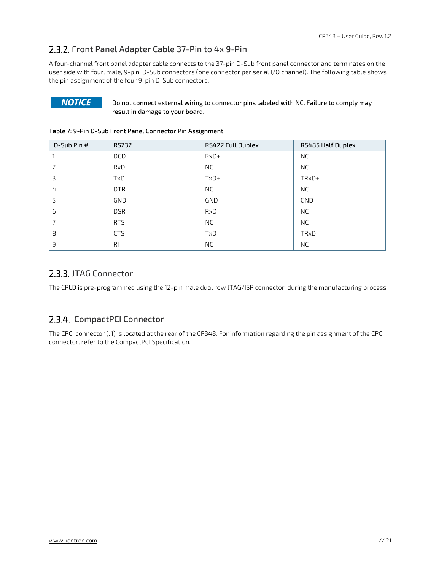## <span id="page-20-0"></span>2.3.2. Front Panel Adapter Cable 37-Pin to 4x 9-Pin

A four-channel front panel adapter cable connects to the 37-pin D-Sub front panel connector and terminates on the user side with four, male, 9-pin, D-Sub connectors (one connector per serial I/O channel). The following table shows the pin assignment of the four 9-pin D-Sub connectors.

#### **NOTICE** Do not connect external wiring to connector pins labeled with NC. Failure to comply may result in damage to your board.

| D-Sub Pin # | <b>RS232</b>   | RS422 Full Duplex | RS485 Half Duplex |
|-------------|----------------|-------------------|-------------------|
|             | <b>DCD</b>     | $RxD+$            | <b>NC</b>         |
| 2           | RxD            | NC.               | <b>NC</b>         |
| 3           | TxD            | $TxD+$            | $TRxD+$           |
| 4           | <b>DTR</b>     | NC.               | <b>NC</b>         |
| 5           | <b>GND</b>     | <b>GND</b>        | <b>GND</b>        |
| 6           | <b>DSR</b>     | $RxD-$            | <b>NC</b>         |
|             | <b>RTS</b>     | <b>NC</b>         | <b>NC</b>         |
| 8           | <b>CTS</b>     | $TxD -$           | TRxD-             |
| 9           | R <sub>l</sub> | NC                | <b>NC</b>         |

#### <span id="page-20-3"></span>Table 7: 9-Pin D-Sub Front Panel Connector Pin Assignment

## <span id="page-20-1"></span>2.3.3. JTAG Connector

The CPLD is pre-programmed using the 12-pin male dual row JTAG/ISP connector, during the manufacturing process.

## <span id="page-20-2"></span>2.3.4. CompactPCI Connector

The CPCI connector (J1) is located at the rear of the CP348. For information regarding the pin assignment of the CPCI connector, refer to the CompactPCI Specification.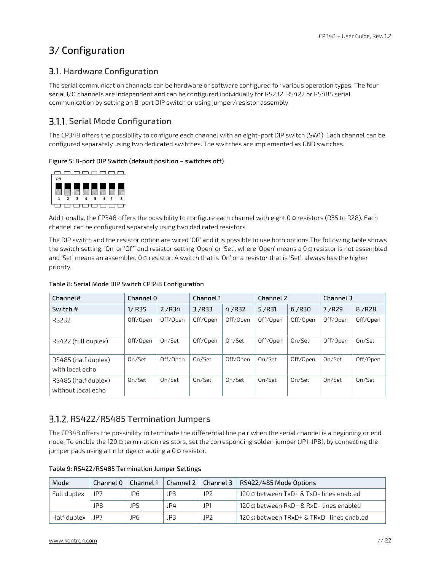# <span id="page-21-0"></span>3/ Configuration

#### <span id="page-21-1"></span>3.1. Hardware Configuration

The serial communication channels can be hardware or software configured for various operation types. The four serial I/O channels are independent and can be configured individually for RS232, RS422 or RS485 serial communication by setting an 8-port DIP switch or using jumper/resistor assembly.

## <span id="page-21-2"></span>3.1.1. Serial Mode Configuration

The CP348 offers the possibility to configure each channel with an eight-port DIP switch (SW1). Each channel can be configured separately using two dedicated switches. The switches are implemented as GND switches.

#### <span id="page-21-6"></span>Figure 5: 8-port DIP Switch (default position – switches off)



Additionally, the CP348 offers the possibility to configure each channel with eight 0 Ω resistors (R35 to R28). Each channel can be configured separately using two dedicated resistors.

The DIP switch and the resistor option are wired 'OR' and it is possible to use both options The following table shows the switch setting, 'On' or 'Off' and resistor setting 'Open' or 'Set', where 'Open' means a 0 Ω resistor is not assembled and 'Set' means an assembled 0 Ω resistor. A switch that is 'On' or a resistor that is 'Set', always has the higher priority.

| Channel#                                  | Channel 0 |          | Channel 1 |                   | Channel 2 |          | Channel 3         |          |
|-------------------------------------------|-----------|----------|-----------|-------------------|-----------|----------|-------------------|----------|
| Switch #                                  | $1/$ R35  | 2/RS4    | 3/RS3     | 4/RS <sub>2</sub> | 5/RS1     | 6/RS     | 7/R <sub>29</sub> | 8/R28    |
| <b>RS232</b>                              | Off/Open  | Off/Open | Off/Open  | Off/Open          | Off/Open  | Off/Open | Off/Open          | Off/Open |
| RS422 (full duplex)                       | Off/Open  | On/Set   | Off/Open  | On/Set            | Off/Open  | On/Set   | Off/Open          | On/Set   |
| RS485 (half duplex)<br>with local echo    | On/Set    | Off/Open | On/Set    | Off/Open          | On/Set    | Off/Open | On/Set            | Off/Open |
| RS485 (half duplex)<br>without local echo | On/Set    | On/Set   | On/Set    | On/Set            | On/Set    | On/Set   | On/Set            | On/Set   |

#### <span id="page-21-4"></span>Table 8: Serial Mode DIP Switch CP348 Configuration

## <span id="page-21-3"></span>3.1.2. RS422/RS485 Termination Jumpers

The CP348 offers the possibility to terminate the differential line pair when the serial channel is a beginning or end node. To enable the 120 Ω termination resistors, set the corresponding solder-jumper (JP1-JP8), by connecting the jumper pads using a tin bridge or adding a 0 Ω resistor.

<span id="page-21-5"></span>

|  | Table 9: RS422/RS485 Termination Jumper Settings |
|--|--------------------------------------------------|
|--|--------------------------------------------------|

| Mode        | Channel 0       | Channel 1 | Channel 2 |                 | Channel $3   RS422/485$ Mode Options             |
|-------------|-----------------|-----------|-----------|-----------------|--------------------------------------------------|
| Full duplex | JP7             | JP6       | IP3       | JP2             | $120 \Omega$ between TxD+ & TxD- lines enabled   |
|             | JP <sub>8</sub> | JP5       | JP4       | JP1             | $120 \Omega$ between RxD+ & RxD- lines enabled   |
| Half duplex | IP7             | JP6       | JP3       | JP <sub>2</sub> | $120 \Omega$ between TRxD+ & TRxD- lines enabled |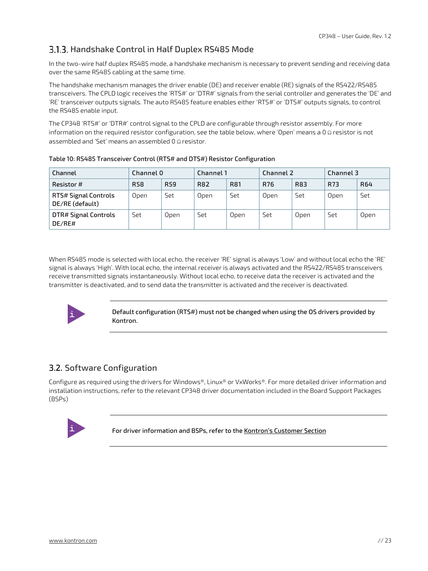## <span id="page-22-0"></span>3.1.3. Handshake Control in Half Duplex RS485 Mode

In the two-wire half duplex RS485 mode, a handshake mechanism is necessary to prevent sending and receiving data over the same RS485 cabling at the same time.

The handshake mechanism manages the driver enable (DE) and receiver enable (RE) signals of the RS422/RS485 transceivers. The CPLD logic receives the 'RTS#' or 'DTR#' signals from the serial controller and generates the 'DE' and 'RE' transceiver outputs signals. The auto RS485 feature enables either 'RTS#' or 'DTS#' outputs signals, to control the RS485 enable input.

The CP348 'RTS#' or 'DTR#' control signal to the CPLD are configurable through resistor assembly. For more information on the required resistor configuration, see the table below, where 'Open' means a 0 Ω resistor is not assembled and 'Set' means an assembled 0 Ω resistor.

| Channel                                        | Channel 0  |            | Channel 1   |      | Channel 2 |            | Channel 3 |      |
|------------------------------------------------|------------|------------|-------------|------|-----------|------------|-----------|------|
| Resistor #                                     | <b>R58</b> | <b>R59</b> | <b>R82</b>  | R81  | R76       | <b>R83</b> | R73       | R64  |
| <b>RTS# Signal Controls</b><br>DE/RE (default) | Open       | Set        | <b>Open</b> | Set  | Open      | Set        | Open      | Set  |
| DTR# Signal Controls<br>DE/RE#                 | Set        | Open       | Set         | Open | Set       | Open       | Set       | Open |

<span id="page-22-2"></span>

| Table 10: RS485 Transceiver Control (RTS# and DTS#) Resistor Configuration |  |  |
|----------------------------------------------------------------------------|--|--|
|                                                                            |  |  |

When RS485 mode is selected with local echo, the receiver 'RE' signal is always 'Low' and without local echo the 'RE' signal is always 'High'. With local echo, the internal receiver is always activated and the RS422/RS485 transceivers receive transmitted signals instantaneously. Without local echo, to receive data the receiver is activated and the transmitter is deactivated, and to send data the transmitter is activated and the receiver is deactivated.



Default configuration (RTS#) must not be changed when using the OS drivers provided by Kontron.

## <span id="page-22-1"></span>3.2. Software Configuration

Configure as required using the drivers for Windows®, Linux® or VxWorks®. For more detailed driver information and installation instructions, refer to the relevant CP348 driver documentation included in the Board Support Packages (BSPs)



For driver information and BSPs, refer to the Kontron's [Customer Section](https://www.kontron.com/en/customer-section)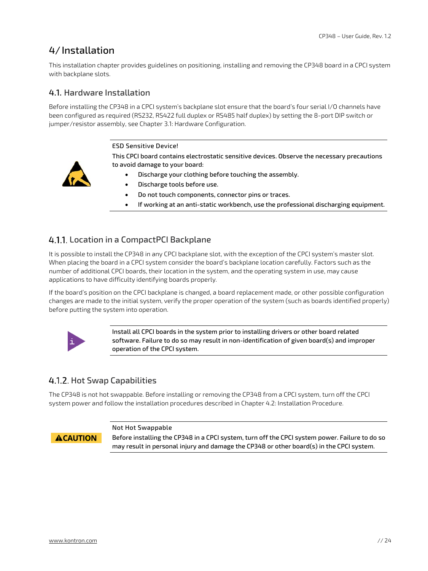# <span id="page-23-0"></span>4/ Installation

This installation chapter provides guidelines on positioning, installing and removing the CP348 board in a CPCI system with backplane slots.

#### <span id="page-23-1"></span>4.1. Hardware Installation

Before installing the CP348 in a CPCI system's backplane slot ensure that the board's four serial I/O channels have been configured as required (RS232, RS422 full duplex or RS485 half duplex) by setting the 8-port DIP switch or jumper/resistor assembly, see Chapte[r 3.1: Hardware Configuration.](#page-21-1)

ESD Sensitive Device!

This CPCI board contains electrostatic sensitive devices. Observe the necessary precautions to avoid damage to your board:



- Discharge tools before use.
- Do not touch components, connector pins or traces.
- If working at an anti-static workbench, use the professional discharging equipment.

## <span id="page-23-2"></span>4.1.1. Location in a CompactPCI Backplane

It is possible to install the CP348 in any CPCI backplane slot, with the exception of the CPCI system's master slot. When placing the board in a CPCI system consider the board's backplane location carefully. Factors such as the number of additional CPCI boards, their location in the system, and the operating system in use, may cause applications to have difficulty identifying boards properly.

If the board's position on the CPCI backplane is changed, a board replacement made, or other possible configuration changes are made to the initial system, verify the proper operation of the system (such as boards identified properly) before putting the system into operation.



Install all CPCI boards in the system prior to installing drivers or other board related software. Failure to do so may result in non-identification of given board(s) and improper operation of the CPCI system.

## <span id="page-23-3"></span>4.1.2. Hot Swap Capabilities

The CP348 is not hot swappable. Before installing or removing the CP348 from a CPCI system, turn off the CPCI system power and follow the installation procedures described in Chapte[r 4.2: Installation Procedure.](#page-24-0)



#### Not Hot Swappable

Before installing the CP348 in a CPCI system, turn off the CPCI system power. Failure to do so may result in personal injury and damage the CP348 or other board(s) in the CPCI system.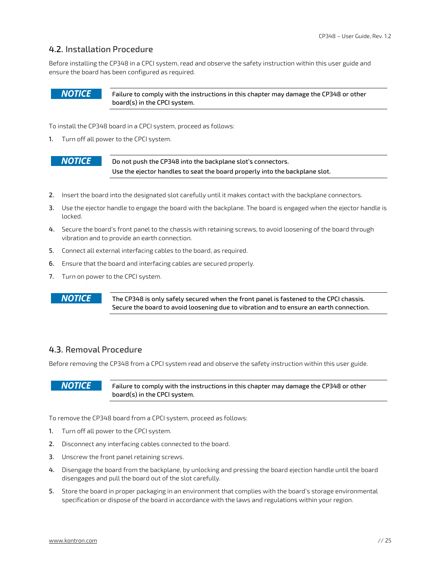### <span id="page-24-0"></span>4.2. Installation Procedure

Before installing the CP348 in a CPCI system, read and observe the safety instruction within this user guide and ensure the board has been configured as required.

#### **NOTICE** Failure to comply with the instructions in this chapter may damage the CP348 or other board(s) in the CPCI system.

To install the CP348 board in a CPCI system, proceed as follows:

1. Turn off all power to the CPCI system.

#### **NOTICE** Do not push the CP348 into the backplane slot's connectors. Use the ejector handles to seat the board properly into the backplane slot.

- 2. Insert the board into the designated slot carefully until it makes contact with the backplane connectors.
- 3. Use the ejector handle to engage the board with the backplane. The board is engaged when the ejector handle is locked.
- 4. Secure the board's front panel to the chassis with retaining screws, to avoid loosening of the board through vibration and to provide an earth connection.
- 5. Connect all external interfacing cables to the board, as required.
- 6. Ensure that the board and interfacing cables are secured properly.
- 7. Turn on power to the CPCI system.

**NOTICE** 

The CP348 is only safely secured when the front panel is fastened to the CPCI chassis. Secure the board to avoid loosening due to vibration and to ensure an earth connection.

### <span id="page-24-1"></span>4.3. Removal Procedure

Before removing the CP348 from a CPCI system read and observe the safety instruction within this user guide.



Failure to comply with the instructions in this chapter may damage the CP348 or other board(s) in the CPCI system.

To remove the CP348 board from a CPCI system, proceed as follows:

- 1. Turn off all power to the CPCI system.
- 2. Disconnect any interfacing cables connected to the board.
- 3. Unscrew the front panel retaining screws.
- 4. Disengage the board from the backplane, by unlocking and pressing the board ejection handle until the board disengages and pull the board out of the slot carefully.
- 5. Store the board in proper packaging in an environment that complies with the board's storage environmental specification or dispose of the board in accordance with the laws and regulations within your region.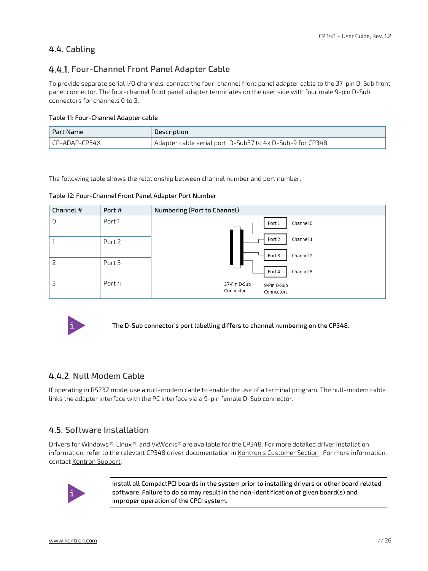## <span id="page-25-0"></span>4.4. Cabling

## <span id="page-25-1"></span>4.4.1. Four-Channel Front Panel Adapter Cable

To provide separate serial I/O channels, connect the four-channel front panel adapter cable to the 37-pin D-Sub front panel connector. The four-channel front panel adapter terminates on the user side with four male 9-pin D-Sub connectors for channels 0 to 3.

#### <span id="page-25-4"></span>Table 11: Four-Channel Adapter cable

| Part Name       | Description                                                |
|-----------------|------------------------------------------------------------|
| l CP-ADAP-CP34X | Adapter cable serial port, D-Sub37 to 4x D-Sub-9 for CP348 |

The following table shows the relationship between channel number and port number.

<span id="page-25-5"></span>

| Channel #      | Port # | Numbering (Port to Channel)                            |
|----------------|--------|--------------------------------------------------------|
| 0              | Port 1 | Port 1<br>Channel 0                                    |
|                | Port 2 | Port 2<br>Channel 1<br>Port 3<br>Channel 2             |
| $\overline{2}$ | Port 3 | Port 4<br>Channel 3                                    |
| 3              | Port 4 | 37-Pin D-Sub<br>9-Pin D-Sub<br>Connector<br>Connectors |



The D-Sub connector's port labelling differs to channel numbering on the CP348.

## <span id="page-25-2"></span>4.4.2. Null Modem Cable

If operating in RS232 mode, use a null-modem cable to enable the use of a terminal program. The null-modem cable links the adapter interface with the PC interface via a 9-pin female D-Sub connector.

## <span id="page-25-3"></span>4.5. Software Installation

Drivers for Windows®, Linux®, and VxWorks® are available for the CP348. For more detailed driver installation information, refer to the relevant CP348 driver documentation in [Kontron's Customer Section](https://www.kontron.com/en/customer-section) . For more information, contac[t Kontron Support.](https://www.kontron.com/en/support-and-services/kontron-europe-and-asia/support)



Install all CompactPCI boards in the system prior to installing drivers or other board related software. Failure to do so may result in the non-identification of given board(s) and improper operation of the CPCI system.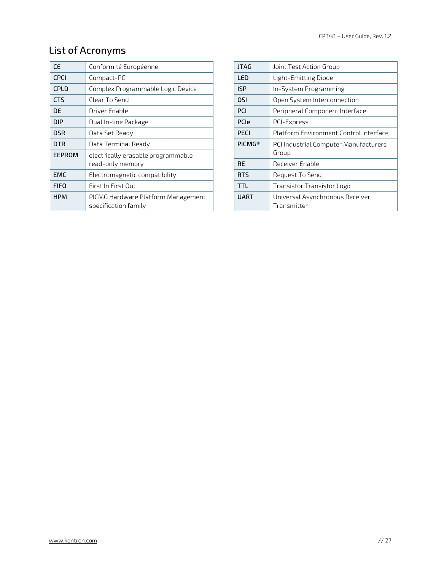# <span id="page-26-0"></span>List of Acronyms

| <b>CF</b>   | Conformité Européenne                                      |
|-------------|------------------------------------------------------------|
| <b>CPCI</b> | Compact-PCI                                                |
| CPI D       | Complex Programmable Logic Device                          |
| <b>CTS</b>  | Clear To Send                                              |
| DE          | Driver Enable                                              |
| <b>DIP</b>  | Dual In-line Package                                       |
| <b>DSR</b>  | Data Set Ready                                             |
| DTR         | Data Terminal Ready                                        |
| EEPROM      | electrically erasable programmable<br>read-only memory     |
| EMC         | Electromagnetic compatibility                              |
| <b>FIFO</b> | First In First Out                                         |
| <b>HPM</b>  | PICMG Hardware Platform Management<br>specification family |

| <b>JTAG</b>   | Joint Test Action Group                        |
|---------------|------------------------------------------------|
| LED.          | Light-Emitting Diode                           |
| ISP           | In-System Programming                          |
| OSI           | Open System Interconnection                    |
| PCI           | Peripheral Component Interface                 |
| <b>PC</b> le  | PCI-Express                                    |
| PFCI          | Platform Environment Control Interface         |
| <b>PICMG®</b> | PCI Industrial Computer Manufacturers<br>Group |
| <b>RF</b>     | Receiver Enable                                |
| <b>RTS</b>    | Request To Send                                |
| TTL           | <b>Transistor Transistor Logic</b>             |
| <b>UART</b>   | Universal Asynchronous Receiver<br>Transmitter |